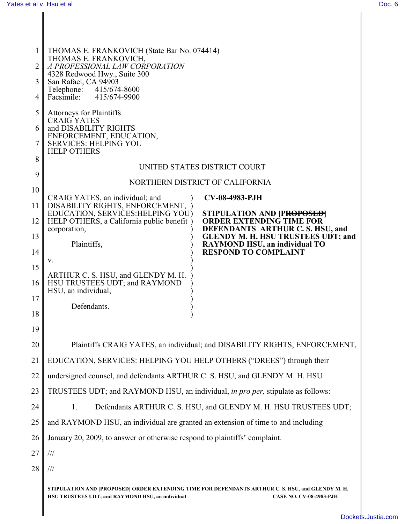|    | THOMAS E. FRANKOVICH (State Bar No. 074414)                                                                                                                                             |  |  |  |  |
|----|-----------------------------------------------------------------------------------------------------------------------------------------------------------------------------------------|--|--|--|--|
| 2  | THOMAS E. FRANKOVICH,<br>A PROFESSIONAL LAW CORPORATION                                                                                                                                 |  |  |  |  |
| 3  | 4328 Redwood Hwy., Suite 300<br>San Rafael, CA 94903<br>Telephone: 415/674-8600                                                                                                         |  |  |  |  |
| 4  | Facsimile:<br>415/674-9900                                                                                                                                                              |  |  |  |  |
| 5  | <b>Attorneys for Plaintiffs</b><br><b>CRAIG YATES</b>                                                                                                                                   |  |  |  |  |
| 6  | and DISABILITY RIGHTS                                                                                                                                                                   |  |  |  |  |
| 7  | ENFORCEMENT, EDUCATION,<br><b>SERVICES: HELPING YOU</b><br><b>HELP OTHERS</b>                                                                                                           |  |  |  |  |
| 8  | UNITED STATES DISTRICT COURT                                                                                                                                                            |  |  |  |  |
| 9  | NORTHERN DISTRICT OF CALIFORNIA                                                                                                                                                         |  |  |  |  |
| 10 | CRAIG YATES, an individual; and<br><b>CV-08-4983-PJH</b>                                                                                                                                |  |  |  |  |
| 11 | DISABILITY RIGHTS, ENFORCEMENT,<br>EDUCATION, SERVICES: HELPING YOU)<br>STIPULATION AND [PROPOSED]                                                                                      |  |  |  |  |
| 12 | HELP OTHERS, a California public benefit)<br><b>ORDER EXTENDING TIME FOR</b><br>DEFENDANTS ARTHUR C. S. HSU, and<br>corporation,                                                        |  |  |  |  |
| 13 | <b>GLENDY M. H. HSU TRUSTEES UDT; and</b><br>Plaintiffs,<br><b>RAYMOND HSU, an individual TO</b>                                                                                        |  |  |  |  |
| 14 | <b>RESPOND TO COMPLAINT</b><br>v.                                                                                                                                                       |  |  |  |  |
| 15 | ARTHUR C. S. HSU, and GLENDY M. H.                                                                                                                                                      |  |  |  |  |
| 16 | HSU TRUSTEES UDT; and RAYMOND<br>HSU, an individual,                                                                                                                                    |  |  |  |  |
| 17 | Defendants                                                                                                                                                                              |  |  |  |  |
| 18 |                                                                                                                                                                                         |  |  |  |  |
| 19 |                                                                                                                                                                                         |  |  |  |  |
| 20 | Plaintiffs CRAIG YATES, an individual; and DISABILITY RIGHTS, ENFORCEMENT,                                                                                                              |  |  |  |  |
| 21 | EDUCATION, SERVICES: HELPING YOU HELP OTHERS ("DREES") through their                                                                                                                    |  |  |  |  |
| 22 | undersigned counsel, and defendants ARTHUR C. S. HSU, and GLENDY M. H. HSU                                                                                                              |  |  |  |  |
| 23 | TRUSTEES UDT; and RAYMOND HSU, an individual, in pro per, stipulate as follows:                                                                                                         |  |  |  |  |
| 24 | Defendants ARTHUR C. S. HSU, and GLENDY M. H. HSU TRUSTEES UDT;<br>1.                                                                                                                   |  |  |  |  |
| 25 | and RAYMOND HSU, an individual are granted an extension of time to and including                                                                                                        |  |  |  |  |
| 26 | January 20, 2009, to answer or otherwise respond to plaintiffs' complaint.                                                                                                              |  |  |  |  |
| 27 | $\frac{1}{1}$                                                                                                                                                                           |  |  |  |  |
| 28 | $\frac{1}{1}$                                                                                                                                                                           |  |  |  |  |
|    | STIPULATION AND [PROPOSED] ORDER EXTENDING TIME FOR DEFENDANTS ARTHUR C. S. HSU, and GLENDY M. H.<br>HSU TRUSTEES UDT; and RAYMOND HSU, an individual<br><b>CASE NO. CV-08-4983-PJH</b> |  |  |  |  |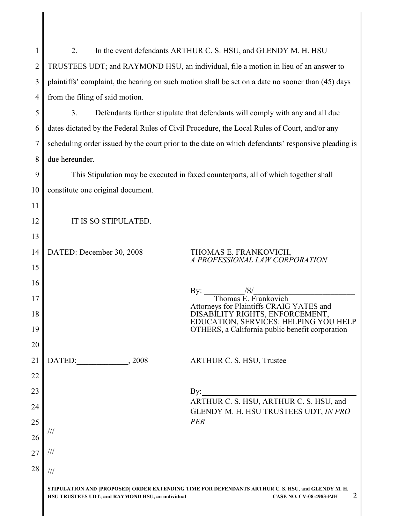| $\mathbf{1}$   | 2.<br>In the event defendants ARTHUR C. S. HSU, and GLENDY M. H. HSU                                                                                                                         |  |  |  |  |
|----------------|----------------------------------------------------------------------------------------------------------------------------------------------------------------------------------------------|--|--|--|--|
| $\overline{2}$ | TRUSTEES UDT; and RAYMOND HSU, an individual, file a motion in lieu of an answer to                                                                                                          |  |  |  |  |
| 3              | plaintiffs' complaint, the hearing on such motion shall be set on a date no sooner than (45) days                                                                                            |  |  |  |  |
| 4              | from the filing of said motion.                                                                                                                                                              |  |  |  |  |
| 5              | Defendants further stipulate that defendants will comply with any and all due<br>3.                                                                                                          |  |  |  |  |
| 6              | dates dictated by the Federal Rules of Civil Procedure, the Local Rules of Court, and/or any                                                                                                 |  |  |  |  |
| 7              | scheduling order issued by the court prior to the date on which defendants' responsive pleading is                                                                                           |  |  |  |  |
| 8              | due hereunder.                                                                                                                                                                               |  |  |  |  |
| 9              | This Stipulation may be executed in faxed counterparts, all of which together shall                                                                                                          |  |  |  |  |
| 10             | constitute one original document.                                                                                                                                                            |  |  |  |  |
| 11             |                                                                                                                                                                                              |  |  |  |  |
| 12             | IT IS SO STIPULATED.                                                                                                                                                                         |  |  |  |  |
| 13             |                                                                                                                                                                                              |  |  |  |  |
| 14             | DATED: December 30, 2008<br>THOMAS E. FRANKOVICH, A PROFESSIONAL LAW CORPORATION                                                                                                             |  |  |  |  |
| 15             |                                                                                                                                                                                              |  |  |  |  |
| 16             | By:                                                                                                                                                                                          |  |  |  |  |
| 17             | $\frac{ S }{\text{Thomas E. } \text{Frankovich}}$<br>Attorneys for Plaintiffs CRAIG YATES and                                                                                                |  |  |  |  |
| 18<br>19       | DISABILITY RIGHTS, ENFORCEMENT,<br>EDUCATION, SERVICES: HELPING YOU HELP<br>OTHERS, a California public benefit corporation                                                                  |  |  |  |  |
| 20             |                                                                                                                                                                                              |  |  |  |  |
| 21             | DATED:<br>, 2008<br>ARTHUR C. S. HSU, Trustee                                                                                                                                                |  |  |  |  |
| 22             |                                                                                                                                                                                              |  |  |  |  |
| 23             | By:                                                                                                                                                                                          |  |  |  |  |
| 24             | ARTHUR C. S. HSU, ARTHUR C. S. HSU, and<br>GLENDY M. H. HSU TRUSTEES UDT, IN PRO                                                                                                             |  |  |  |  |
| 25             | PER                                                                                                                                                                                          |  |  |  |  |
| 26             | ///                                                                                                                                                                                          |  |  |  |  |
| 27             |                                                                                                                                                                                              |  |  |  |  |
| 28             | $\frac{1}{1}$                                                                                                                                                                                |  |  |  |  |
|                | STIPULATION AND [PROPOSED] ORDER EXTENDING TIME FOR DEFENDANTS ARTHUR C. S. HSU, and GLENDY M. H.<br>2<br>HSU TRUSTEES UDT; and RAYMOND HSU, an individual<br><b>CASE NO. CV-08-4983-PJH</b> |  |  |  |  |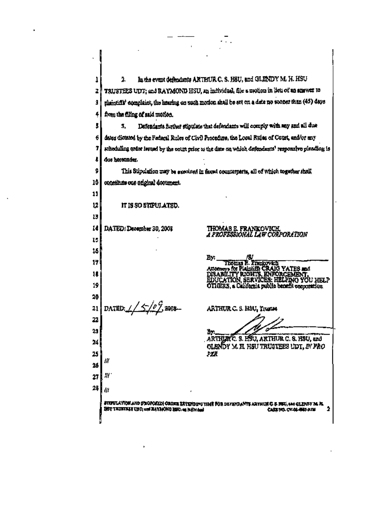In the event defendants ARTHUR C. S. H8U, and GLENDY M. H. HSU  $\overline{2}$ 1 TRUSTEES UDT; and RAYMOND HSU, an individual, file a notion in item of an amount to 7 phonoiril' complaint, the hearing on such motion shall be set on a date no sooner than (45) days ğ, from the filing of said motion. 4 Defendants further stipulate that defendants will comply with may and all due 5 3. dates dictated by the Federal Rules of Civil Precedure, the Local Rules of Court, end/or may 6 scheduling order issued by the court prior to the date on which defendants' responsive pleading is 7 ŧ due herounder. ġ. This Stipulation may be executed in faxed counterparts, all of which together shall, 10 constitute one original document. 11 IT IS SO STIPULATED. 12 13 THOMAS E. FRANKOVICH<br>A PROFESSIONAL LAW CORPORATION  $\mathbf{14}$ DATED: December 30, 2008 U 16 By: Æ By: Thomas E. Frankovich<br>Attorneys for Plaining CRAIG YATES and<br>DISABILITY RIGHTS, ENFORCEMENT,<br>EDUCATION, SERVICES: HELPING YOU HELP<br>OTHERS, a California public benefit corporation 17 18 19 20 DATED:  $1/5/22008$ 21 ARTHUR C. S. HAU, Yourse 22 23 ЪY. ARTHUR C. S. HOU, ARTHUR C. S. HSU, and 24 **GLENDY M. H. HSU TRUSTEES UDT. IN FRO** 25 УÆ Ш  $26$ Ш. 27 28 Ш stepulktich and proposibi crose zetendeng time for de fation-new arthor C & FBU, and clearly M. H.  $\overline{2}$ HOU TRIMINIS UNIT and RAYIACHIO HERI, on Individual CASE WOL OV-01-4663-2726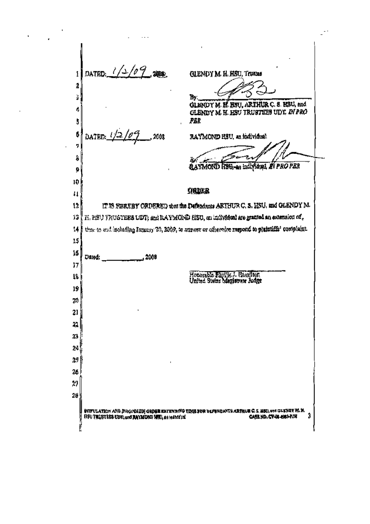